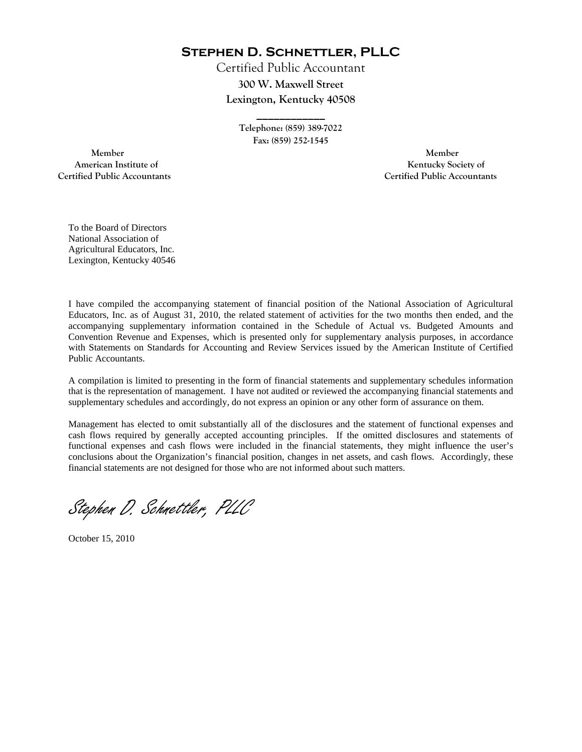**Stephen D. Schnettler, PLLC**

Certified Public Accountant **300 W. Maxwell Street Lexington, Kentucky 40508** 

> **Telephone: (859) 389-7022 Fax: (859) 252-1545**

**\_\_\_\_\_\_\_\_\_\_\_\_** 

 **Member Member Certified Public Accountants Certified Public Accountants** 

American Institute of **Kentucky Society of** 

To the Board of Directors National Association of Agricultural Educators, Inc. Lexington, Kentucky 40546

I have compiled the accompanying statement of financial position of the National Association of Agricultural Educators, Inc. as of August 31, 2010, the related statement of activities for the two months then ended, and the accompanying supplementary information contained in the Schedule of Actual vs. Budgeted Amounts and Convention Revenue and Expenses, which is presented only for supplementary analysis purposes, in accordance with Statements on Standards for Accounting and Review Services issued by the American Institute of Certified Public Accountants.

A compilation is limited to presenting in the form of financial statements and supplementary schedules information that is the representation of management. I have not audited or reviewed the accompanying financial statements and supplementary schedules and accordingly, do not express an opinion or any other form of assurance on them.

Management has elected to omit substantially all of the disclosures and the statement of functional expenses and cash flows required by generally accepted accounting principles. If the omitted disclosures and statements of functional expenses and cash flows were included in the financial statements, they might influence the user's conclusions about the Organization's financial position, changes in net assets, and cash flows. Accordingly, these financial statements are not designed for those who are not informed about such matters.

Stephen D. Schnettler, PLLC

October 15, 2010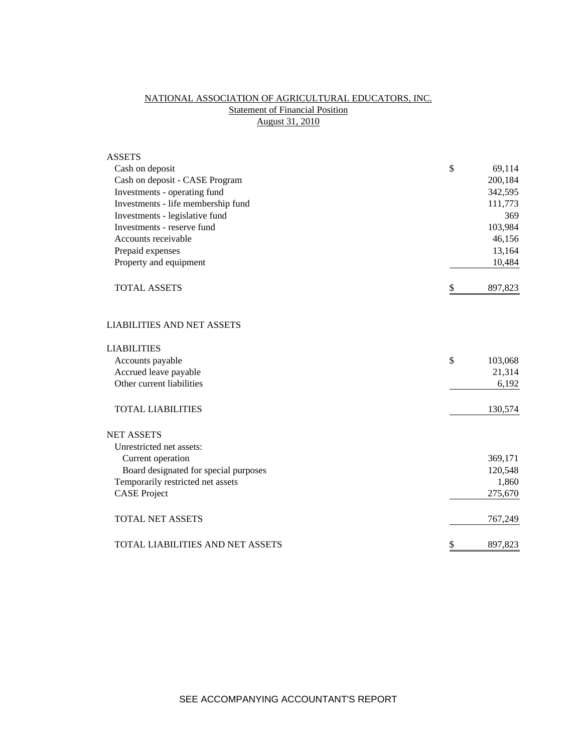# NATIONAL ASSOCIATION OF AGRICULTURAL EDUCATORS, INC. **Statement of Financial Position** August 31, 2010

| <b>ASSETS</b>                           |               |
|-----------------------------------------|---------------|
| Cash on deposit                         | \$<br>69,114  |
| Cash on deposit - CASE Program          | 200,184       |
| Investments - operating fund            | 342,595       |
| Investments - life membership fund      | 111,773       |
| Investments - legislative fund          | 369           |
| Investments - reserve fund              | 103,984       |
| Accounts receivable                     | 46,156        |
| Prepaid expenses                        | 13,164        |
| Property and equipment                  | 10,484        |
| <b>TOTAL ASSETS</b>                     | \$<br>897,823 |
| <b>LIABILITIES AND NET ASSETS</b>       |               |
| <b>LIABILITIES</b>                      |               |
| Accounts payable                        | \$<br>103,068 |
| Accrued leave payable                   | 21,314        |
| Other current liabilities               | 6,192         |
| <b>TOTAL LIABILITIES</b>                | 130,574       |
| <b>NET ASSETS</b>                       |               |
| Unrestricted net assets:                |               |
| Current operation                       | 369,171       |
| Board designated for special purposes   | 120,548       |
| Temporarily restricted net assets       | 1,860         |
| <b>CASE</b> Project                     | 275,670       |
| <b>TOTAL NET ASSETS</b>                 | 767,249       |
| <b>TOTAL LIABILITIES AND NET ASSETS</b> | \$<br>897,823 |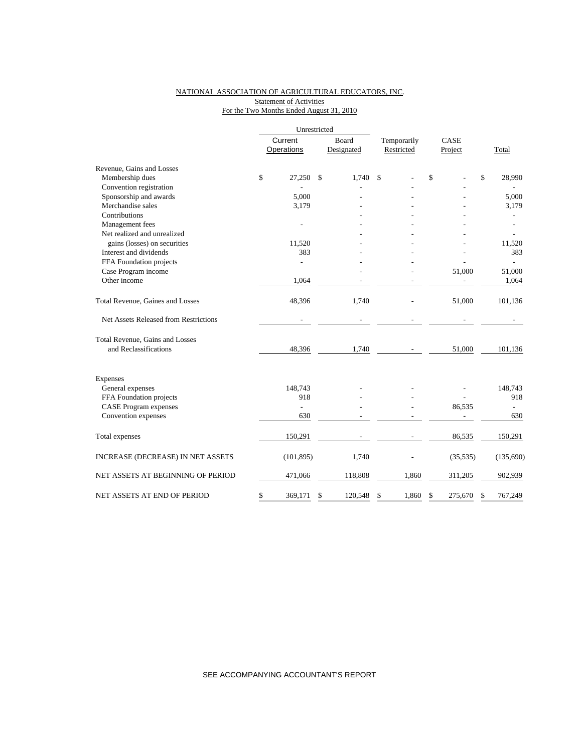### NATIONAL ASSOCIATION OF AGRICULTURAL EDUCATORS, INC. **Statement of Activities** For the Two Months Ended August 31, 2010

|                                       | Unrestricted          |                |    |                     |                           |                 |           |       |           |
|---------------------------------------|-----------------------|----------------|----|---------------------|---------------------------|-----------------|-----------|-------|-----------|
|                                       | Current<br>Operations |                |    | Board<br>Designated | Temporarily<br>Restricted | CASE<br>Project |           | Total |           |
| Revenue, Gains and Losses             |                       |                |    |                     |                           |                 |           |       |           |
| Membership dues                       | \$                    | 27,250         | \$ | 1,740               | \$                        | \$              |           | \$    | 28,990    |
| Convention registration               |                       |                |    |                     |                           |                 |           |       |           |
| Sponsorship and awards                |                       | 5,000          |    |                     |                           |                 |           |       | 5,000     |
| Merchandise sales                     |                       | 3,179          |    |                     |                           |                 |           |       | 3,179     |
| Contributions                         |                       |                |    |                     |                           |                 |           |       |           |
| Management fees                       |                       |                |    |                     |                           |                 |           |       |           |
| Net realized and unrealized           |                       |                |    |                     |                           |                 |           |       |           |
| gains (losses) on securities          |                       | 11,520         |    |                     |                           |                 |           |       | 11,520    |
| Interest and dividends                |                       | 383            |    |                     |                           |                 |           |       | 383       |
| FFA Foundation projects               |                       | $\overline{a}$ |    |                     |                           |                 |           |       |           |
| Case Program income                   |                       |                |    |                     |                           |                 | 51,000    |       | 51,000    |
| Other income                          |                       | 1,064          |    |                     |                           |                 |           |       | 1,064     |
| Total Revenue, Gaines and Losses      |                       | 48,396         |    | 1,740               |                           |                 | 51,000    |       | 101,136   |
| Net Assets Released from Restrictions |                       |                |    |                     |                           |                 |           |       |           |
| Total Revenue, Gains and Losses       |                       |                |    |                     |                           |                 |           |       |           |
| and Reclassifications                 |                       | 48,396         |    | 1,740               |                           |                 | 51,000    |       | 101,136   |
| Expenses                              |                       |                |    |                     |                           |                 |           |       |           |
| General expenses                      |                       | 148,743        |    |                     |                           |                 |           |       | 148,743   |
| FFA Foundation projects               |                       | 918            |    |                     |                           |                 |           |       | 918       |
| <b>CASE Program expenses</b>          |                       | $\overline{a}$ |    |                     |                           |                 | 86,535    |       |           |
| Convention expenses                   |                       | 630            |    |                     |                           |                 |           |       | 630       |
| Total expenses                        |                       | 150,291        |    |                     |                           |                 | 86,535    |       | 150,291   |
| INCREASE (DECREASE) IN NET ASSETS     |                       | (101, 895)     |    | 1,740               |                           |                 | (35, 535) |       | (135,690) |
| NET ASSETS AT BEGINNING OF PERIOD     |                       | 471,066        |    | 118,808             | 1,860                     |                 | 311,205   |       | 902,939   |
| NET ASSETS AT END OF PERIOD           | \$                    | 369,171        | \$ | 120,548             | \$<br>1,860               | \$              | 275,670   | S     | 767,249   |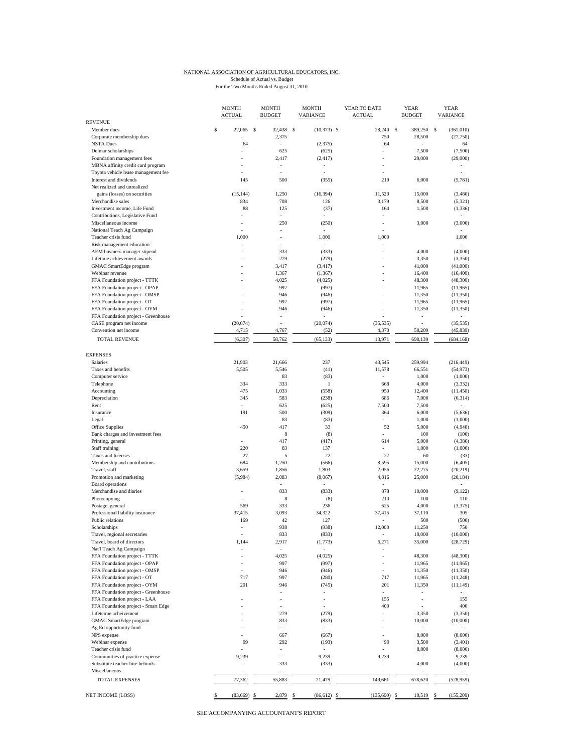### NATIONAL ASSOCIATION OF AGRICULTURAL EDUCATORS, INC.

For the Two Months Ended August 31, 2010 Schedule of Actual vs. Budget

MONTH MONTH MONTH YEAR TO DATE YEAR YEAR YEAR ACTUAL BUDGET VARIANCE **VARIANCE REVENUE** Member dues 22,065 \$ 22,065 \$ 32,438 \$ 22,373) \$ 28,240 \$ 389,250 \$ (361,010) Corporate membership dues and the corporate membership dues and the corporate membership dues and the corporate membership dues and the corporate membership dues and the corporate membership dues and the corporate membersh NSTA Dues 64 - (2,375) 64 - 64 Delmar scholarships - 625 (625) - 7,500 (7,500) Foundation management fees - 2,417 (2,417) - 29,000 (29,000) - 29,000 (29,000) MBNA affinity credit card program Toyota vehicle lease management fee Interest and dividends 6,000 (5,781) 145 500 (355) 219 6,000 (5,781) Net realized and unrealized gains (losses) on securities (15,144) 1,250 (16,394) 11,520 15,000 (3,480)<br>Merchandise sales (5,321) 126 126 3,179 8,500 (5,321) Merchandise sales 65,321 834 708 126 3,179 8,500 6,321 Investment income, Life Fund 88 125 (37) 164 1,500 (1,336) Contributions, Legislative Fund Miscellaneous income (3,000) - 250 (250) - 3,000 (3,000) - 3,000 (3,000) National Teach Ag Campaign Teacher crisis fund that the contract term is the contract of the 1,000 to the 1,000 to 1,000 to 1,000 to 1,000 Risk management education<br>
AEM business manager stipend<br>  $\begin{array}{ccc} 4,000 & (4,000) \\ 4,000 & (4,000) \end{array}$ AEM business manager stipend (4,000) (4,000) (4,000) (4,000) (4,000) (4,000) (4,000) (4,000) (4,000) (3,350) (3,350) (3,350) (3,350) (3,350) (3,350) (3,350) (3,350) (4,000) (4,000) (4,000) (4,000) (4,000) (4,000) (4,000) ( Lifetime achievement awards <br>
GMAC SmartEdge program <br>  $3,417$  (3,417) - 3,350 (3,350) (3,350)<br>  $3,417$  (3,417) - 41,000 (41,000) GMAC SmartEdge program - 3,417 (3,417) - 41,000 (41,000) (41,000) - 41,000 (41,000) - 41,000 (41,000) - 41,000<br>Webinar revenue - 1,367 (1,367) - 16,400 (16,400) (16,400) Webinar revenue 16,400 (16,400) = 1,367 (1,367) = 16,400 (16,400) = 16,400 (16,400) FFA Foundation project - TTTK  $4,025$   $(4,025)$   $(48,300)$   $(48,300)$   $(48,300)$ FFA Foundation project - OPAP - 997 (997) - 11,965 (11,965) FFA Foundation project - OMSP - 946 (946) - 946 (946) - 11,350 (11,350)<br>FFA Foundation project - OT - 997 (997) - 11,965 (11,965) FFA Foundation project - OT <br>
FFA Foundation project - OYM - 997 (997) - 11,965 (11,965)<br>
946 (946) - 11,350 (11,350) FFA Foundation project - OYM FFA Foundation project - Greenhouse (20,074) <br>CASE program net income (20,074) (35,535) (35,535) (35,535) CASE program net income (20,074) (20,074) (20,074) (35,535) - (35,535) (20,074) (35,535) (20,074) (35,535) (35,535) (35,535) (35,535) (35,535) (35,535) (35,535) (35,635) (4,5839) (45,839) (45,839) Convention net income  $4,715$   $4,767$   $(52)$ TOTAL REVENUE (6,307) 58,762 (65,133) 13,971 698,139 (684,168) EXPENSES Salaries 21,903 21,666 237 43,545 259,994 (216,449) Taxes and benefits **5,505** 5,505 5,546 (41) 11,578 66,551 (54,973) Computer service 83 (83) - 1,000 (1,000) Telephone 334 333 1 668 4,000 (3,332) Accounting 1,033 (558) 950 12,400 (11,450) Depreciation 345 583 (238) 686 7,000 (6,314) Rent - 625 (625) 7,500 7,500 - Insurance 191 191 500 (309) 364 6,000 (5,636) Legal 1,000 (1,000) 83 (83) 83 (84) 83 (83) 83 8 1,000 (1,000) Office Supplies 6.000 1.450 450 417 33 52 5,000 44,948) Printing, general extension of the structure of the structure of the structure of the structure of the structure of the structure of the structure of the structure of the structure of the structure of the structure of the Printing, general 614 5,000 (4,386) Staff training 20 1,000 (1,000) 220 83 137 - 1,000 1,000 1,000  $T$ axes and licenses  $27$   $5$   $22$   $27$   $5$   $60$   $(33)$ Membership and contributions 684 1,250 (566) 8,595 15,000 (6,405) Travel, staff 3,659 1,856 1,803 2,056 22,275 (20,219) Promotion and marketing (5,984) 2,083 (8,067) 4,816 25,000 (20,184) Board operations and the set of the set of the set of the set of the set of the set of the set of the set of the set of the set of the set of the set of the set of the set of the set of the set of the set of the set of the Merchandise and diaries **10.000** (9,122)<br>
Photocopying **10.000** (9,122)<br>
Photocopying **100** 110 110 110 110 Photocopying 210 100 110 110 Postage, general 625 69 569 569 333 236 625 4,000 63,375) Professional liability insurance 37,415 37,415 37,415 37,415 37,415 37,110 305 Public relations 600 to the contract of the contract of the contract of the contract of the contract of the contract of the contract of the contract of the contract of the contract of the contract of the contract of the co Scholarships - 938 (938) 12,000 11,250 750 Travel, regional secretaries 10,000 (10,000)<br>
Travel, board of directors 1,144 (2,917 (1,773) (28,729) (28,729) Travel, board of directors Nat'l Teach Ag Campaign FFA Foundation project - TTTK - 48,300 (48,300) - 48,300 (48,300) - 48,300 (48,300) FFA Foundation project - OPAP - 997 (997) - 11,965 (11,965) FFA Foundation project - OMSP - 946 (946) 946 (946) - 11,350 (11,350) 11,350 FFA Foundation project - OT 717 997 (280) 717 11,965 (11,248) FFA Foundation project - OYM 201 946 (745) 201 11,350 (11,149) FFA Foundation project - Greenhouse - - - - - FFA Foundation project - LAA - - - 155 - 155 FFA Foundation project - Smart Edge Lifeteime acheivement 1279 (279) 13,350 (3,350) (3,350) GMAC SmartEdge program (833 (833) (833 (833) - 10,000 (10,000) (10,000) Ag Ed opportunity fund<br>
NPS expense and the state of the state of the state of the state of the state of the state of the state of the state of the state of the state of the state of the state of the state of the state of NPS expense 667 (667) - 8,000 (8,000) - 8,000 (8,000) Webinar expense 294 292 (193) 99 3,500 (3,401) Teacher crisis fund and the series of practice expense of the series of practice expense of the series of the series of the series of the series of the series of the series of the series of the series of the series of the Communities of practice expense Substitute teacher hire behinds (333) (333) (333) (4,000 (4,000) (4,000) Miscellaneous and the set of the set of the set of the set of the set of the set of the set of the set of the set of the set of the set of the set of the set of the set of the set of the set of the set of the set of the se TOTAL EXPENSES 77,362 55,883 21,479 149,661 678,620 (528,959) NET INCOME (LOSS) (83,669) \$ 2,879 \$ (86,612) \$ (135,690) \$ 19,519 \$ (155,209) \$

SEE ACCOMPANYING ACCOUNTANT'S REPORT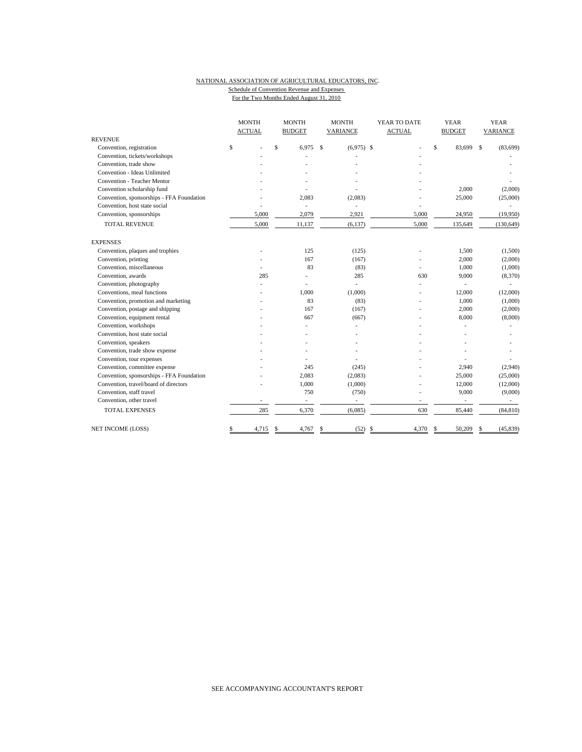#### NATIONAL ASSOCIATION OF AGRICULTURAL EDUCATORS, INC. Schedule of Convention Revenue and Expenses For the Two Months Ended August 31, 2010

|                                           | <b>MONTH</b> |                | <b>MONTH</b> |                | <b>MONTH</b>  |                | YEAR TO DATE  |     | <b>YEAR</b>   |             | <b>YEAR</b> |  |
|-------------------------------------------|--------------|----------------|--------------|----------------|---------------|----------------|---------------|-----|---------------|-------------|-------------|--|
|                                           |              | <b>ACTUAL</b>  |              | <b>BUDGET</b>  |               | VARIANCE       | <b>ACTUAL</b> |     | <b>BUDGET</b> |             | VARIANCE    |  |
| <b>REVENUE</b>                            |              |                |              |                |               |                |               |     |               |             |             |  |
| Convention, registration                  | \$           |                | \$           | 6.975          | <sup>\$</sup> | $(6,975)$ \$   |               | \$  | 83,699        | $\mathbf S$ | (83, 699)   |  |
| Convention, tickets/workshops             |              |                |              |                |               |                |               |     |               |             |             |  |
| Convention, trade show                    |              |                |              |                |               |                |               |     |               |             |             |  |
| Convention - Ideas Unlimited              |              |                |              |                |               |                |               |     |               |             |             |  |
| <b>Convention - Teacher Mentor</b>        |              |                |              |                |               |                |               |     |               |             |             |  |
| Convention scholarship fund               |              |                |              |                |               |                |               |     | 2,000         |             | (2,000)     |  |
| Convention, sponsorships - FFA Foundation |              |                |              | 2,083          |               | (2,083)        |               |     | 25,000        |             | (25,000)    |  |
| Convention, host state social             |              |                |              | $\sim$         |               |                |               |     |               |             |             |  |
| Convention, sponsorships                  |              | 5.000          |              | 2,079          |               | 2,921          | 5,000         |     | 24,950        |             | (19,950)    |  |
| <b>TOTAL REVENUE</b>                      |              | 5,000          |              | 11,137         |               | (6, 137)       | 5,000         |     | 135,649       |             | (130, 649)  |  |
| <b>EXPENSES</b>                           |              |                |              |                |               |                |               |     |               |             |             |  |
| Convention, plaques and trophies          |              |                |              | 125            |               | (125)          |               |     | 1,500         |             | (1,500)     |  |
| Convention, printing                      |              |                |              | 167            |               | (167)          |               |     | 2,000         |             | (2,000)     |  |
| Convention, miscellaneous                 |              |                |              | 83             |               | (83)           | ÷,            |     | 1,000         |             | (1,000)     |  |
| Convention, awards                        |              | 285            |              | L,             |               | 285            | 630           |     | 9,000         |             | (8,370)     |  |
| Convention, photography                   |              |                |              | $\overline{a}$ |               |                |               |     |               |             |             |  |
| Conventions, meal functions               |              |                |              | 1,000          |               | (1,000)        |               |     | 12,000        |             | (12,000)    |  |
| Convention, promotion and marketing       |              |                |              | 83             |               | (83)           |               |     | 1,000         |             | (1,000)     |  |
| Convention, postage and shipping          |              |                |              | 167            |               | (167)          |               |     | 2,000         |             | (2,000)     |  |
| Convention, equipment rental              |              |                |              | 667            |               | (667)          |               |     | 8,000         |             | (8,000)     |  |
| Convention, workshops                     |              |                |              |                |               |                |               |     |               |             |             |  |
| Convention, host state social             |              |                |              |                |               |                |               |     |               |             |             |  |
| Convention, speakers                      |              |                |              |                |               |                |               |     |               |             |             |  |
| Convention, trade show expense            |              |                |              |                |               |                |               |     |               |             |             |  |
| Convention, tour expenses                 |              |                |              |                |               |                |               |     |               |             |             |  |
| Convention, committee expense             |              |                |              | 245            |               | (245)          |               |     | 2,940         |             | (2,940)     |  |
| Convention, sponsorships - FFA Foundation |              |                |              | 2,083          |               | (2,083)        |               |     | 25,000        |             | (25,000)    |  |
| Convention, travel/board of directors     |              |                |              | 1,000          |               | (1,000)        |               |     | 12,000        |             | (12,000)    |  |
| Convention, staff travel                  |              |                |              | 750            |               | (750)          |               |     | 9,000         |             | (9,000)     |  |
| Convention, other travel                  |              | $\overline{a}$ |              | ÷.             |               | $\overline{a}$ | ÷.            |     |               |             |             |  |
| <b>TOTAL EXPENSES</b>                     |              | 285            |              | 6,370          |               | (6,085)        | 630           |     | 85,440        |             | (84, 810)   |  |
| <b>NET INCOME (LOSS)</b>                  | \$           | 4,715          | \$           | 4,767          | \$            | $(52)$ \$      | 4,370         | -\$ | 50,209        | \$          | (45, 839)   |  |